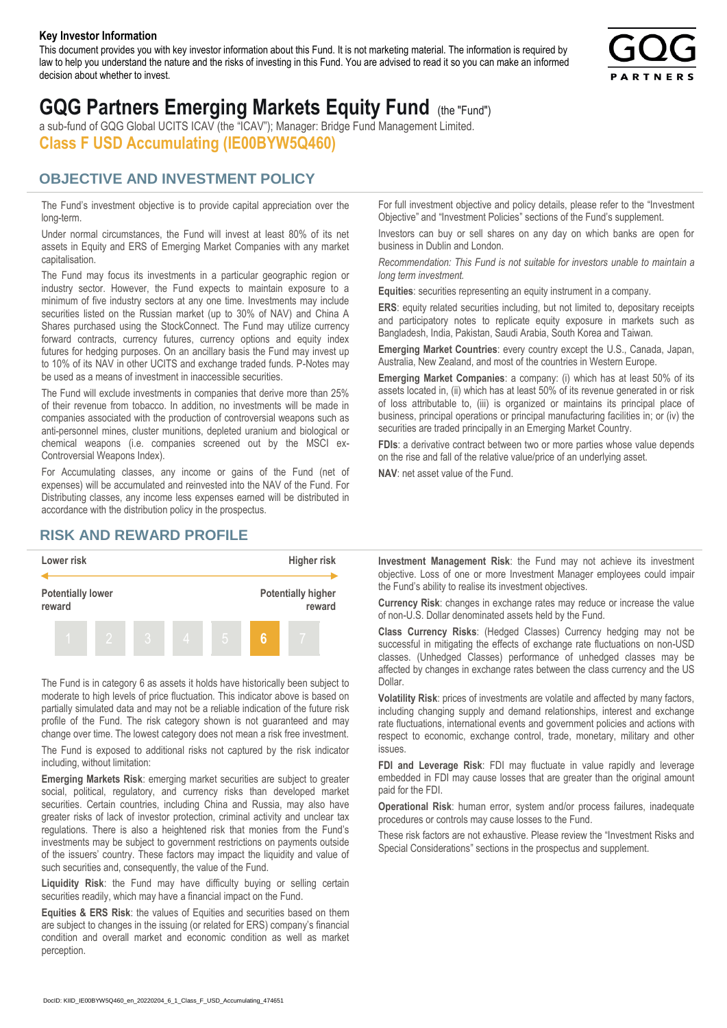#### **Key Investor Information**

This document provides you with key investor information about this Fund. It is not marketing material. The information is required by law to help you understand the nature and the risks of investing in this Fund. You are advised to read it so you can make an informed decision about whether to invest.



# **GQG Partners Emerging Markets Equity Fund** (the "Fund")

a sub-fund of GQG Global UCITS ICAV (the "ICAV"); Manager: Bridge Fund Management Limited. **Class F USD Accumulating (IE00BYW5Q460)**

### **OBJECTIVE AND INVESTMENT POLICY**

The Fund's investment objective is to provide capital appreciation over the long-term.

Under normal circumstances, the Fund will invest at least 80% of its net assets in Equity and ERS of Emerging Market Companies with any market capitalisation.

The Fund may focus its investments in a particular geographic region or industry sector. However, the Fund expects to maintain exposure to a minimum of five industry sectors at any one time. Investments may include securities listed on the Russian market (up to 30% of NAV) and China A Shares purchased using the StockConnect. The Fund may utilize currency forward contracts, currency futures, currency options and equity index futures for hedging purposes. On an ancillary basis the Fund may invest up to 10% of its NAV in other UCITS and exchange traded funds. P-Notes may be used as a means of investment in inaccessible securities.

The Fund will exclude investments in companies that derive more than 25% of their revenue from tobacco. In addition, no investments will be made in companies associated with the production of controversial weapons such as anti-personnel mines, cluster munitions, depleted uranium and biological or chemical weapons (i.e. companies screened out by the MSCI ex-Controversial Weapons Index).

For Accumulating classes, any income or gains of the Fund (net of expenses) will be accumulated and reinvested into the NAV of the Fund. For Distributing classes, any income less expenses earned will be distributed in accordance with the distribution policy in the prospectus.

## **RISK AND REWARD PROFILE**



The Fund is in category 6 as assets it holds have historically been subject to moderate to high levels of price fluctuation. This indicator above is based on partially simulated data and may not be a reliable indication of the future risk profile of the Fund. The risk category shown is not guaranteed and may change over time. The lowest category does not mean a risk free investment.

The Fund is exposed to additional risks not captured by the risk indicator including, without limitation:

**Emerging Markets Risk**: emerging market securities are subject to greater social, political, regulatory, and currency risks than developed market securities. Certain countries, including China and Russia, may also have greater risks of lack of investor protection, criminal activity and unclear tax regulations. There is also a heightened risk that monies from the Fund's investments may be subject to government restrictions on payments outside of the issuers' country. These factors may impact the liquidity and value of such securities and, consequently, the value of the Fund.

**Liquidity Risk**: the Fund may have difficulty buying or selling certain securities readily, which may have a financial impact on the Fund.

**Equities & ERS Risk**: the values of Equities and securities based on them are subject to changes in the issuing (or related for ERS) company's financial condition and overall market and economic condition as well as market perception.

For full investment objective and policy details, please refer to the "Investment Objective" and "Investment Policies" sections of the Fund's supplement.

Investors can buy or sell shares on any day on which banks are open for business in Dublin and London.

*Recommendation: This Fund is not suitable for investors unable to maintain a long term investment.*

**Equities**: securities representing an equity instrument in a company.

**ERS:** equity related securities including, but not limited to, depositary receipts and participatory notes to replicate equity exposure in markets such as Bangladesh, India, Pakistan, Saudi Arabia, South Korea and Taiwan.

**Emerging Market Countries**: every country except the U.S., Canada, Japan, Australia, New Zealand, and most of the countries in Western Europe.

**Emerging Market Companies**: a company: (i) which has at least 50% of its assets located in, (ii) which has at least 50% of its revenue generated in or risk of loss attributable to, (iii) is organized or maintains its principal place of business, principal operations or principal manufacturing facilities in; or (iv) the securities are traded principally in an Emerging Market Country.

**FDIs**: a derivative contract between two or more parties whose value depends on the rise and fall of the relative value/price of an underlying asset.

**NAV**: net asset value of the Fund.

**Investment Management Risk**: the Fund may not achieve its investment objective. Loss of one or more Investment Manager employees could impair the Fund's ability to realise its investment objectives.

**Currency Risk**: changes in exchange rates may reduce or increase the value of non-U.S. Dollar denominated assets held by the Fund.

**Class Currency Risks**: (Hedged Classes) Currency hedging may not be successful in mitigating the effects of exchange rate fluctuations on non-USD classes. (Unhedged Classes) performance of unhedged classes may be affected by changes in exchange rates between the class currency and the US Dollar.

**Volatility Risk**: prices of investments are volatile and affected by many factors, including changing supply and demand relationships, interest and exchange rate fluctuations, international events and government policies and actions with respect to economic, exchange control, trade, monetary, military and other issues.

**FDI and Leverage Risk**: FDI may fluctuate in value rapidly and leverage embedded in FDI may cause losses that are greater than the original amount paid for the FDI.

**Operational Risk**: human error, system and/or process failures, inadequate procedures or controls may cause losses to the Fund.

These risk factors are not exhaustive. Please review the "Investment Risks and Special Considerations" sections in the prospectus and supplement.